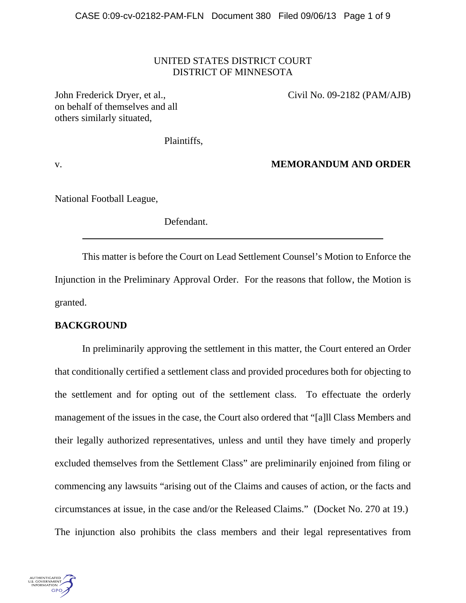## UNITED STATES DISTRICT COURT DISTRICT OF MINNESOTA

John Frederick Dryer, et al., Civil No. 09-2182 (PAM/AJB) on behalf of themselves and all others similarly situated,

Plaintiffs,

v. **MEMORANDUM AND ORDER**

National Football League,

Defendant.

This matter is before the Court on Lead Settlement Counsel's Motion to Enforce the Injunction in the Preliminary Approval Order. For the reasons that follow, the Motion is granted.

# **BACKGROUND**

In preliminarily approving the settlement in this matter, the Court entered an Order that conditionally certified a settlement class and provided procedures both for objecting to the settlement and for opting out of the settlement class. To effectuate the orderly management of the issues in the case, the Court also ordered that "[a]ll Class Members and their legally authorized representatives, unless and until they have timely and properly excluded themselves from the Settlement Class" are preliminarily enjoined from filing or commencing any lawsuits "arising out of the Claims and causes of action, or the facts and circumstances at issue, in the case and/or the Released Claims." (Docket No. 270 at 19.) The injunction also prohibits the class members and their legal representatives from

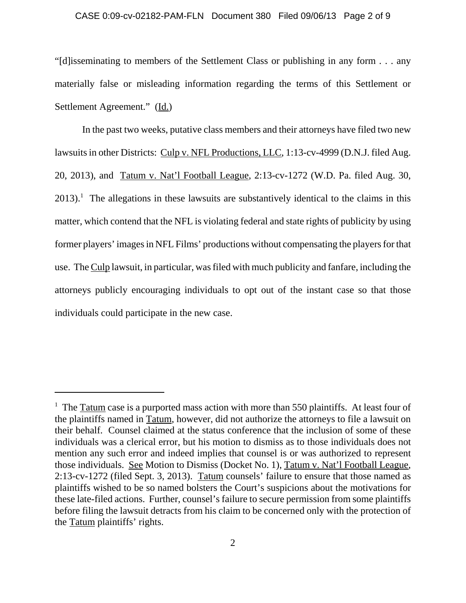#### CASE 0:09-cv-02182-PAM-FLN Document 380 Filed 09/06/13 Page 2 of 9

"[d]isseminating to members of the Settlement Class or publishing in any form . . . any materially false or misleading information regarding the terms of this Settlement or Settlement Agreement." (Id.)

In the past two weeks, putative class members and their attorneys have filed two new lawsuits in other Districts: Culp v. NFL Productions, LLC, 1:13-cv-4999 (D.N.J. filed Aug. 20, 2013), and Tatum v. Nat'l Football League, 2:13-cv-1272 (W.D. Pa. filed Aug. 30,  $2013$ .<sup>1</sup> The allegations in these lawsuits are substantively identical to the claims in this matter, which contend that the NFL is violating federal and state rights of publicity by using former players' images in NFL Films' productions without compensating the players for that use. The Culp lawsuit, in particular, was filed with much publicity and fanfare, including the attorneys publicly encouraging individuals to opt out of the instant case so that those individuals could participate in the new case.

<sup>&</sup>lt;sup>1</sup> The  $Tatum$  case is a purported mass action with more than 550 plaintiffs. At least four of</u> the plaintiffs named in Tatum, however, did not authorize the attorneys to file a lawsuit on their behalf. Counsel claimed at the status conference that the inclusion of some of these individuals was a clerical error, but his motion to dismiss as to those individuals does not mention any such error and indeed implies that counsel is or was authorized to represent those individuals. See Motion to Dismiss (Docket No. 1), Tatum v. Nat'l Football League, 2:13-cv-1272 (filed Sept. 3, 2013). Tatum counsels' failure to ensure that those named as plaintiffs wished to be so named bolsters the Court's suspicions about the motivations for these late-filed actions. Further, counsel's failure to secure permission from some plaintiffs before filing the lawsuit detracts from his claim to be concerned only with the protection of the Tatum plaintiffs' rights.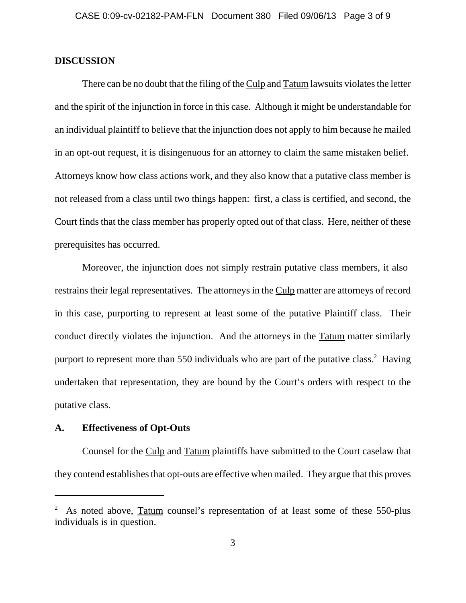## **DISCUSSION**

There can be no doubt that the filing of the Culp and Tatum lawsuits violates the letter and the spirit of the injunction in force in this case. Although it might be understandable for an individual plaintiff to believe that the injunction does not apply to him because he mailed in an opt-out request, it is disingenuous for an attorney to claim the same mistaken belief. Attorneys know how class actions work, and they also know that a putative class member is not released from a class until two things happen: first, a class is certified, and second, the Court finds that the class member has properly opted out of that class. Here, neither of these prerequisites has occurred.

Moreover, the injunction does not simply restrain putative class members, it also restrains their legal representatives. The attorneys in the Culp matter are attorneys of record in this case, purporting to represent at least some of the putative Plaintiff class. Their conduct directly violates the injunction. And the attorneys in the Tatum matter similarly purport to represent more than 550 individuals who are part of the putative class.<sup>2</sup> Having undertaken that representation, they are bound by the Court's orders with respect to the putative class.

# **A. Effectiveness of Opt-Outs**

Counsel for the Culp and Tatum plaintiffs have submitted to the Court caselaw that they contend establishes that opt-outs are effective when mailed. They argue that this proves

<sup>2</sup> As noted above, Tatum counsel's representation of at least some of these 550-plus individuals is in question.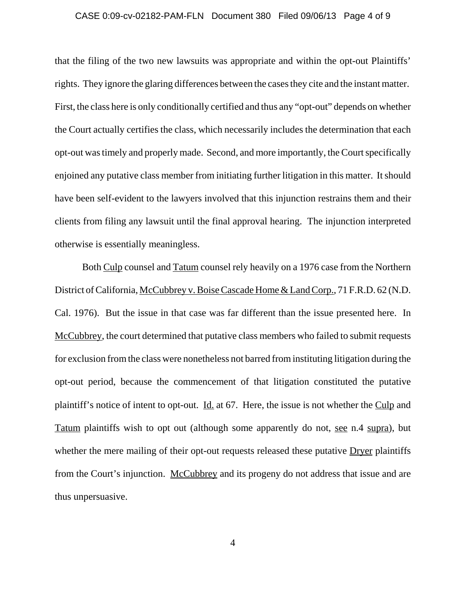## CASE 0:09-cv-02182-PAM-FLN Document 380 Filed 09/06/13 Page 4 of 9

that the filing of the two new lawsuits was appropriate and within the opt-out Plaintiffs' rights. They ignore the glaring differences between the cases they cite and the instant matter. First, the class here is only conditionally certified and thus any "opt-out" depends on whether the Court actually certifies the class, which necessarily includes the determination that each opt-out was timely and properly made. Second, and more importantly, the Court specifically enjoined any putative class member from initiating further litigation in this matter. It should have been self-evident to the lawyers involved that this injunction restrains them and their clients from filing any lawsuit until the final approval hearing. The injunction interpreted otherwise is essentially meaningless.

Both Culp counsel and Tatum counsel rely heavily on a 1976 case from the Northern District of California, McCubbrey v. Boise Cascade Home & Land Corp., 71 F.R.D. 62 (N.D. Cal. 1976). But the issue in that case was far different than the issue presented here. In McCubbrey, the court determined that putative class members who failed to submit requests for exclusion from the class were nonetheless not barred from instituting litigation during the opt-out period, because the commencement of that litigation constituted the putative plaintiff's notice of intent to opt-out. Id. at 67. Here, the issue is not whether the Culp and Tatum plaintiffs wish to opt out (although some apparently do not, see n.4 supra), but whether the mere mailing of their opt-out requests released these putative Dryer plaintiffs from the Court's injunction. McCubbrey and its progeny do not address that issue and are thus unpersuasive.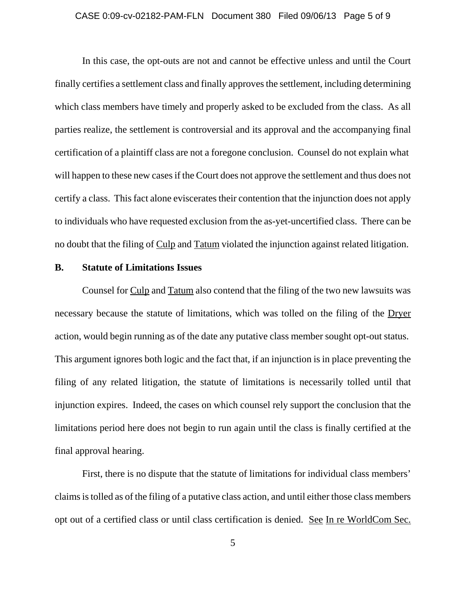#### CASE 0:09-cv-02182-PAM-FLN Document 380 Filed 09/06/13 Page 5 of 9

In this case, the opt-outs are not and cannot be effective unless and until the Court finally certifies a settlement class and finally approves the settlement, including determining which class members have timely and properly asked to be excluded from the class. As all parties realize, the settlement is controversial and its approval and the accompanying final certification of a plaintiff class are not a foregone conclusion. Counsel do not explain what will happen to these new cases if the Court does not approve the settlement and thus does not certify a class. This fact alone eviscerates their contention that the injunction does not apply to individuals who have requested exclusion from the as-yet-uncertified class. There can be no doubt that the filing of Culp and Tatum violated the injunction against related litigation.

## **B. Statute of Limitations Issues**

Counsel for Culp and Tatum also contend that the filing of the two new lawsuits was necessary because the statute of limitations, which was tolled on the filing of the Dryer action, would begin running as of the date any putative class member sought opt-out status. This argument ignores both logic and the fact that, if an injunction is in place preventing the filing of any related litigation, the statute of limitations is necessarily tolled until that injunction expires. Indeed, the cases on which counsel rely support the conclusion that the limitations period here does not begin to run again until the class is finally certified at the final approval hearing.

First, there is no dispute that the statute of limitations for individual class members' claims is tolled as of the filing of a putative class action, and until either those class members opt out of a certified class or until class certification is denied. See In re WorldCom Sec.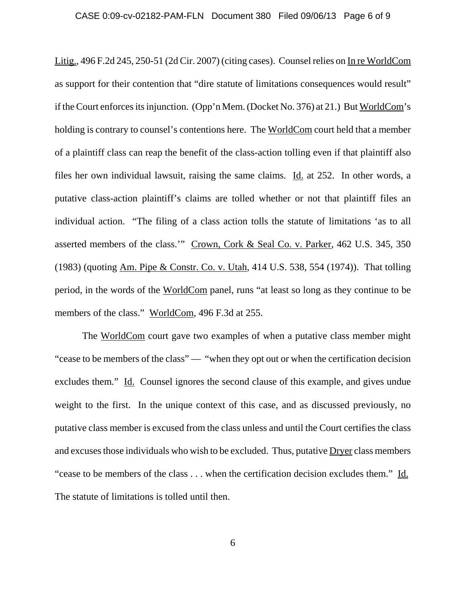Litig., 496 F.2d 245, 250-51 (2d Cir. 2007) (citing cases). Counsel relies on In re WorldCom as support for their contention that "dire statute of limitations consequences would result" if the Court enforces its injunction. (Opp'n Mem. (Docket No. 376) at 21.) But WorldCom's holding is contrary to counsel's contentions here. The WorldCom court held that a member of a plaintiff class can reap the benefit of the class-action tolling even if that plaintiff also files her own individual lawsuit, raising the same claims. Id. at 252. In other words, a putative class-action plaintiff's claims are tolled whether or not that plaintiff files an individual action. "The filing of a class action tolls the statute of limitations 'as to all asserted members of the class.'" Crown, Cork & Seal Co. v. Parker, 462 U.S. 345, 350 (1983) (quoting Am. Pipe & Constr. Co. v. Utah, 414 U.S. 538, 554 (1974)). That tolling period, in the words of the WorldCom panel, runs "at least so long as they continue to be members of the class." WorldCom, 496 F.3d at 255.

The WorldCom court gave two examples of when a putative class member might "cease to be members of the class" — "when they opt out or when the certification decision excludes them." Id. Counsel ignores the second clause of this example, and gives undue weight to the first. In the unique context of this case, and as discussed previously, no putative class member is excused from the class unless and until the Court certifies the class and excuses those individuals who wish to be excluded. Thus, putative Dryer class members "cease to be members of the class . . . when the certification decision excludes them." Id. The statute of limitations is tolled until then.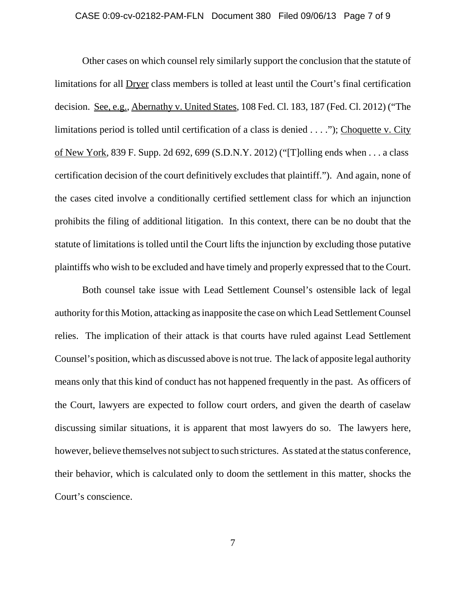# CASE 0:09-cv-02182-PAM-FLN Document 380 Filed 09/06/13 Page 7 of 9

Other cases on which counsel rely similarly support the conclusion that the statute of limitations for all Dryer class members is tolled at least until the Court's final certification decision. See, e.g., Abernathy v. United States, 108 Fed. Cl. 183, 187 (Fed. Cl. 2012) ("The limitations period is tolled until certification of a class is denied . . . ."); Choquette v. City of New York, 839 F. Supp. 2d 692, 699 (S.D.N.Y. 2012) ("[T]olling ends when . . . a class certification decision of the court definitively excludes that plaintiff."). And again, none of the cases cited involve a conditionally certified settlement class for which an injunction prohibits the filing of additional litigation. In this context, there can be no doubt that the statute of limitations is tolled until the Court lifts the injunction by excluding those putative plaintiffs who wish to be excluded and have timely and properly expressed that to the Court.

Both counsel take issue with Lead Settlement Counsel's ostensible lack of legal authority for this Motion, attacking as inapposite the case on which Lead Settlement Counsel relies. The implication of their attack is that courts have ruled against Lead Settlement Counsel's position, which as discussed above is not true. The lack of apposite legal authority means only that this kind of conduct has not happened frequently in the past. As officers of the Court, lawyers are expected to follow court orders, and given the dearth of caselaw discussing similar situations, it is apparent that most lawyers do so. The lawyers here, however, believe themselves not subject to such strictures. As stated at the status conference, their behavior, which is calculated only to doom the settlement in this matter, shocks the Court's conscience.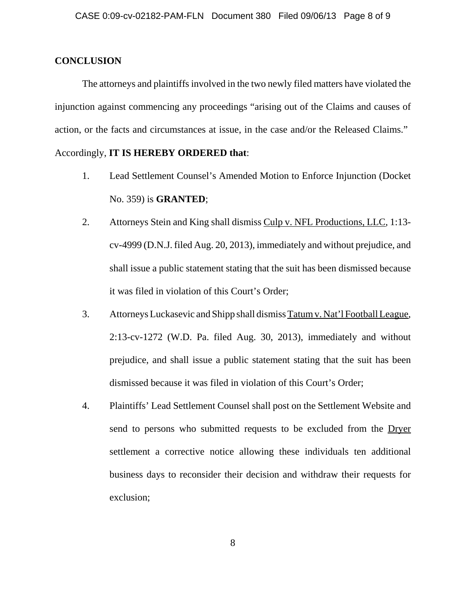## **CONCLUSION**

The attorneys and plaintiffs involved in the two newly filed matters have violated the injunction against commencing any proceedings "arising out of the Claims and causes of action, or the facts and circumstances at issue, in the case and/or the Released Claims."

# Accordingly, **IT IS HEREBY ORDERED that**:

- 1. Lead Settlement Counsel's Amended Motion to Enforce Injunction (Docket No. 359) is **GRANTED**;
- 2. Attorneys Stein and King shall dismiss Culp v. NFL Productions, LLC, 1:13 cv-4999 (D.N.J. filed Aug. 20, 2013), immediately and without prejudice, and shall issue a public statement stating that the suit has been dismissed because it was filed in violation of this Court's Order;
- 3. Attorneys Luckasevic and Shipp shall dismiss Tatum v. Nat'l Football League, 2:13-cv-1272 (W.D. Pa. filed Aug. 30, 2013), immediately and without prejudice, and shall issue a public statement stating that the suit has been dismissed because it was filed in violation of this Court's Order;
- 4. Plaintiffs' Lead Settlement Counsel shall post on the Settlement Website and send to persons who submitted requests to be excluded from the Dryer settlement a corrective notice allowing these individuals ten additional business days to reconsider their decision and withdraw their requests for exclusion;